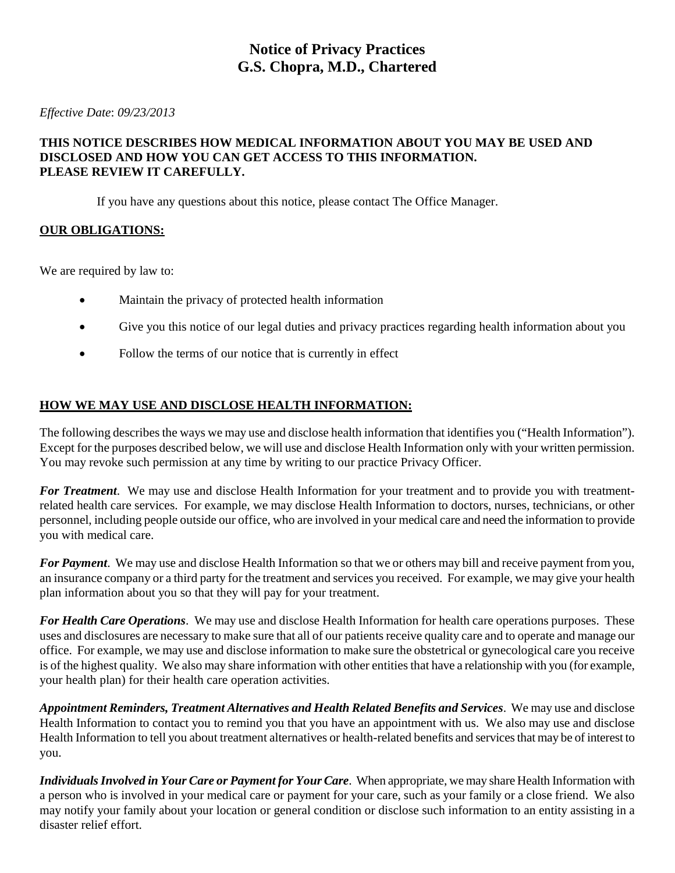# **Notice of Privacy Practices G.S. Chopra, M.D., Chartered**

*Effective Date*: *09/23/2013*

#### **THIS NOTICE DESCRIBES HOW MEDICAL INFORMATION ABOUT YOU MAY BE USED AND DISCLOSED AND HOW YOU CAN GET ACCESS TO THIS INFORMATION. PLEASE REVIEW IT CAREFULLY.**

If you have any questions about this notice, please contact The Office Manager.

#### **OUR OBLIGATIONS:**

We are required by law to:

- Maintain the privacy of protected health information
- Give you this notice of our legal duties and privacy practices regarding health information about you
- Follow the terms of our notice that is currently in effect

#### **HOW WE MAY USE AND DISCLOSE HEALTH INFORMATION:**

The following describes the ways we may use and disclose health information that identifies you ("Health Information"). Except for the purposes described below, we will use and disclose Health Information only with your written permission. You may revoke such permission at any time by writing to our practice Privacy Officer.

*For Treatment*. We may use and disclose Health Information for your treatment and to provide you with treatmentrelated health care services. For example, we may disclose Health Information to doctors, nurses, technicians, or other personnel, including people outside our office, who are involved in your medical care and need the information to provide you with medical care.

*For Payment*. We may use and disclose Health Information so that we or others may bill and receive payment from you, an insurance company or a third party for the treatment and services you received. For example, we may give your health plan information about you so that they will pay for your treatment.

*For Health Care Operations*. We may use and disclose Health Information for health care operations purposes. These uses and disclosures are necessary to make sure that all of our patients receive quality care and to operate and manage our office. For example, we may use and disclose information to make sure the obstetrical or gynecological care you receive is of the highest quality. We also may share information with other entities that have a relationship with you (for example, your health plan) for their health care operation activities.

*Appointment Reminders, Treatment Alternatives and Health Related Benefits and Services*. We may use and disclose Health Information to contact you to remind you that you have an appointment with us. We also may use and disclose Health Information to tell you about treatment alternatives or health-related benefits and services that may be of interest to you.

*Individuals Involved in Your Care or Payment for Your Care*. When appropriate, we may share Health Information with a person who is involved in your medical care or payment for your care, such as your family or a close friend. We also may notify your family about your location or general condition or disclose such information to an entity assisting in a disaster relief effort.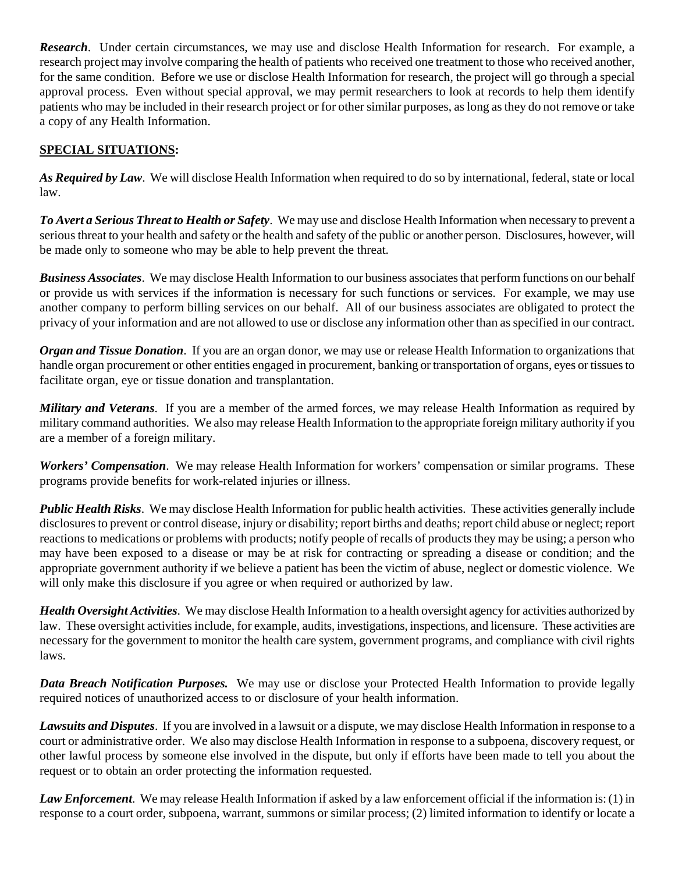*Research*. Under certain circumstances, we may use and disclose Health Information for research. For example, a research project may involve comparing the health of patients who received one treatment to those who received another, for the same condition. Before we use or disclose Health Information for research, the project will go through a special approval process. Even without special approval, we may permit researchers to look at records to help them identify patients who may be included in their research project or for other similar purposes, as long as they do not remove or take a copy of any Health Information.

# **SPECIAL SITUATIONS:**

*As Required by Law*. We will disclose Health Information when required to do so by international, federal, state or local law.

*To Avert a Serious Threat to Health or Safety*. We may use and disclose Health Information when necessary to prevent a serious threat to your health and safety or the health and safety of the public or another person. Disclosures, however, will be made only to someone who may be able to help prevent the threat.

*Business Associates*. We may disclose Health Information to our business associates that perform functions on our behalf or provide us with services if the information is necessary for such functions or services. For example, we may use another company to perform billing services on our behalf. All of our business associates are obligated to protect the privacy of your information and are not allowed to use or disclose any information other than as specified in our contract.

*Organ and Tissue Donation*. If you are an organ donor, we may use or release Health Information to organizations that handle organ procurement or other entities engaged in procurement, banking or transportation of organs, eyes or tissues to facilitate organ, eye or tissue donation and transplantation.

*Military and Veterans*. If you are a member of the armed forces, we may release Health Information as required by military command authorities. We also may release Health Information to the appropriate foreign military authority if you are a member of a foreign military.

*Workers' Compensation*. We may release Health Information for workers' compensation or similar programs. These programs provide benefits for work-related injuries or illness.

*Public Health Risks*. We may disclose Health Information for public health activities. These activities generally include disclosures to prevent or control disease, injury or disability; report births and deaths; report child abuse or neglect; report reactions to medications or problems with products; notify people of recalls of products they may be using; a person who may have been exposed to a disease or may be at risk for contracting or spreading a disease or condition; and the appropriate government authority if we believe a patient has been the victim of abuse, neglect or domestic violence. We will only make this disclosure if you agree or when required or authorized by law.

*Health Oversight Activities*. We may disclose Health Information to a health oversight agency for activities authorized by law. These oversight activities include, for example, audits, investigations, inspections, and licensure. These activities are necessary for the government to monitor the health care system, government programs, and compliance with civil rights laws.

*Data Breach Notification Purposes.* We may use or disclose your Protected Health Information to provide legally required notices of unauthorized access to or disclosure of your health information.

*Lawsuits and Disputes*. If you are involved in a lawsuit or a dispute, we may disclose Health Information in response to a court or administrative order. We also may disclose Health Information in response to a subpoena, discovery request, or other lawful process by someone else involved in the dispute, but only if efforts have been made to tell you about the request or to obtain an order protecting the information requested.

*Law Enforcement*. We may release Health Information if asked by a law enforcement official if the information is: (1) in response to a court order, subpoena, warrant, summons or similar process; (2) limited information to identify or locate a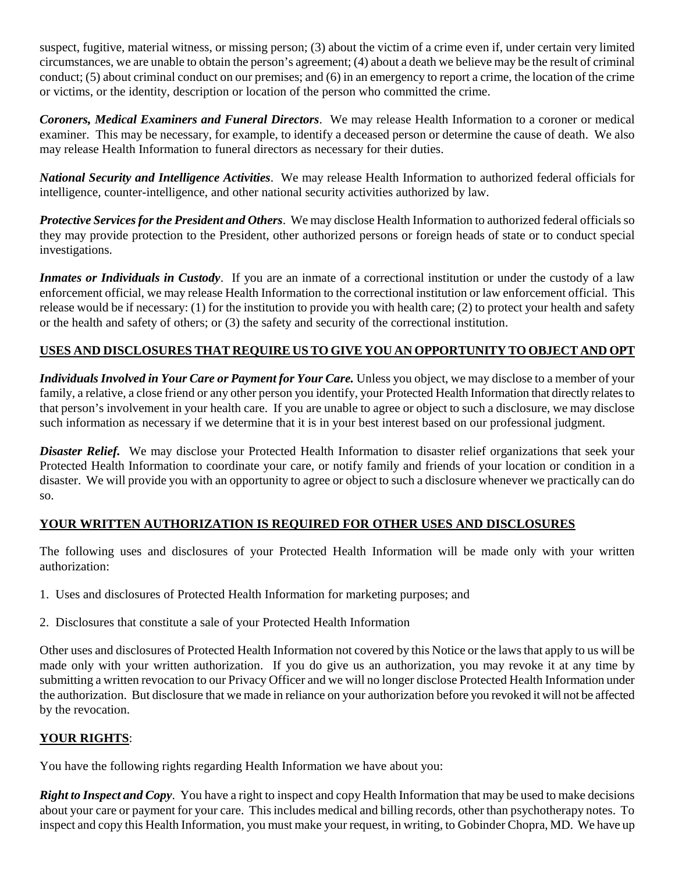suspect, fugitive, material witness, or missing person; (3) about the victim of a crime even if, under certain very limited circumstances, we are unable to obtain the person's agreement; (4) about a death we believe may be the result of criminal conduct; (5) about criminal conduct on our premises; and (6) in an emergency to report a crime, the location of the crime or victims, or the identity, description or location of the person who committed the crime.

*Coroners, Medical Examiners and Funeral Directors*. We may release Health Information to a coroner or medical examiner. This may be necessary, for example, to identify a deceased person or determine the cause of death. We also may release Health Information to funeral directors as necessary for their duties.

*National Security and Intelligence Activities*. We may release Health Information to authorized federal officials for intelligence, counter-intelligence, and other national security activities authorized by law.

*Protective Services for the President and Others*. We may disclose Health Information to authorized federal officials so they may provide protection to the President, other authorized persons or foreign heads of state or to conduct special investigations.

*Inmates or Individuals in Custody*. If you are an inmate of a correctional institution or under the custody of a law enforcement official, we may release Health Information to the correctional institution or law enforcement official. This release would be if necessary: (1) for the institution to provide you with health care; (2) to protect your health and safety or the health and safety of others; or (3) the safety and security of the correctional institution.

## **USES AND DISCLOSURES THAT REQUIRE US TO GIVE YOU AN OPPORTUNITY TO OBJECT AND OPT**

*Individuals Involved in Your Care or Payment for Your Care.* Unless you object, we may disclose to a member of your family, a relative, a close friend or any other person you identify, your Protected Health Information that directly relates to that person's involvement in your health care. If you are unable to agree or object to such a disclosure, we may disclose such information as necessary if we determine that it is in your best interest based on our professional judgment.

*Disaster Relief.* We may disclose your Protected Health Information to disaster relief organizations that seek your Protected Health Information to coordinate your care, or notify family and friends of your location or condition in a disaster. We will provide you with an opportunity to agree or object to such a disclosure whenever we practically can do so.

## **YOUR WRITTEN AUTHORIZATION IS REQUIRED FOR OTHER USES AND DISCLOSURES**

The following uses and disclosures of your Protected Health Information will be made only with your written authorization:

- 1. Uses and disclosures of Protected Health Information for marketing purposes; and
- 2. Disclosures that constitute a sale of your Protected Health Information

Other uses and disclosures of Protected Health Information not covered by this Notice or the laws that apply to us will be made only with your written authorization. If you do give us an authorization, you may revoke it at any time by submitting a written revocation to our Privacy Officer and we will no longer disclose Protected Health Information under the authorization. But disclosure that we made in reliance on your authorization before you revoked it will not be affected by the revocation.

## **YOUR RIGHTS**:

You have the following rights regarding Health Information we have about you:

*Right to Inspect and Copy*. You have a right to inspect and copy Health Information that may be used to make decisions about your care or payment for your care. This includes medical and billing records, other than psychotherapy notes. To inspect and copy this Health Information, you must make your request, in writing, to Gobinder Chopra, MD. We have up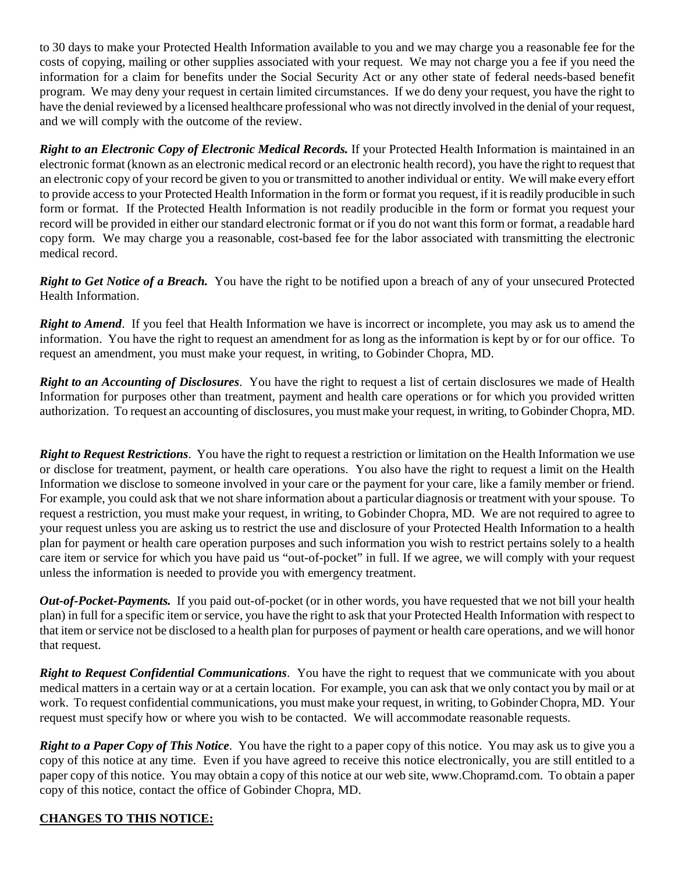to 30 days to make your Protected Health Information available to you and we may charge you a reasonable fee for the costs of copying, mailing or other supplies associated with your request. We may not charge you a fee if you need the information for a claim for benefits under the Social Security Act or any other state of federal needs-based benefit program. We may deny your request in certain limited circumstances. If we do deny your request, you have the right to have the denial reviewed by a licensed healthcare professional who was not directly involved in the denial of your request, and we will comply with the outcome of the review.

*Right to an Electronic Copy of Electronic Medical Records.* If your Protected Health Information is maintained in an electronic format (known as an electronic medical record or an electronic health record), you have the right to request that an electronic copy of your record be given to you or transmitted to another individual or entity. We will make every effort to provide access to your Protected Health Information in the form or format you request, if it is readily producible in such form or format. If the Protected Health Information is not readily producible in the form or format you request your record will be provided in either our standard electronic format or if you do not want this form or format, a readable hard copy form. We may charge you a reasonable, cost-based fee for the labor associated with transmitting the electronic medical record.

*Right to Get Notice of a Breach.* You have the right to be notified upon a breach of any of your unsecured Protected Health Information.

*Right to Amend*. If you feel that Health Information we have is incorrect or incomplete, you may ask us to amend the information. You have the right to request an amendment for as long as the information is kept by or for our office. To request an amendment, you must make your request, in writing, to Gobinder Chopra, MD.

*Right to an Accounting of Disclosures*. You have the right to request a list of certain disclosures we made of Health Information for purposes other than treatment, payment and health care operations or for which you provided written authorization. To request an accounting of disclosures, you must make your request, in writing, to Gobinder Chopra, MD.

*Right to Request Restrictions*. You have the right to request a restriction or limitation on the Health Information we use or disclose for treatment, payment, or health care operations. You also have the right to request a limit on the Health Information we disclose to someone involved in your care or the payment for your care, like a family member or friend. For example, you could ask that we not share information about a particular diagnosis or treatment with your spouse. To request a restriction, you must make your request, in writing, to Gobinder Chopra, MD. We are not required to agree to your request unless you are asking us to restrict the use and disclosure of your Protected Health Information to a health plan for payment or health care operation purposes and such information you wish to restrict pertains solely to a health care item or service for which you have paid us "out-of-pocket" in full. If we agree, we will comply with your request unless the information is needed to provide you with emergency treatment.

*Out-of-Pocket-Payments.* If you paid out-of-pocket (or in other words, you have requested that we not bill your health plan) in full for a specific item or service, you have the right to ask that your Protected Health Information with respect to that item or service not be disclosed to a health plan for purposes of payment or health care operations, and we will honor that request.

*Right to Request Confidential Communications*. You have the right to request that we communicate with you about medical matters in a certain way or at a certain location. For example, you can ask that we only contact you by mail or at work. To request confidential communications, you must make your request, in writing, to Gobinder Chopra, MD. Your request must specify how or where you wish to be contacted. We will accommodate reasonable requests.

*Right to a Paper Copy of This Notice*. You have the right to a paper copy of this notice. You may ask us to give you a copy of this notice at any time. Even if you have agreed to receive this notice electronically, you are still entitled to a paper copy of this notice. You may obtain a copy of this notice at our web site, www.Chopramd.com. To obtain a paper copy of this notice, contact the office of Gobinder Chopra, MD.

## **CHANGES TO THIS NOTICE:**